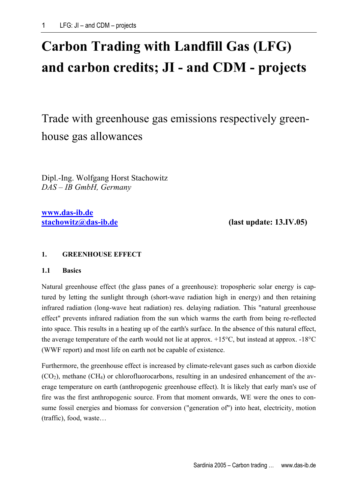# **Carbon Trading with Landfill Gas (LFG) and carbon credits; JI - and CDM - projects**

Trade with greenhouse gas emissions respectively greenhouse gas allowances

Dipl.-Ing. Wolfgang Horst Stachowitz *DAS – IB GmbH, Germany* 

**[www.das-ib.de](http://www.das-ib.de/)**

**[stachowitz@das-ib.de](mailto:stachowitz@das-ib.de) (last update: 13.IV.05)** 

# **1. GREENHOUSE EFFECT**

## **1.1 Basics**

Natural greenhouse effect (the glass panes of a greenhouse): tropospheric solar energy is captured by letting the sunlight through (short-wave radiation high in energy) and then retaining infrared radiation (long-wave heat radiation) res. delaying radiation. This "natural greenhouse effect" prevents infrared radiation from the sun which warms the earth from being re-reflected into space. This results in a heating up of the earth's surface. In the absence of this natural effect, the average temperature of the earth would not lie at approx. +15°C, but instead at approx. -18°C (WWF report) and most life on earth not be capable of existence.

Furthermore, the greenhouse effect is increased by climate-relevant gases such as carbon dioxide  $(CO<sub>2</sub>)$ , methane  $(CH<sub>4</sub>)$  or chlorofluorocarbons, resulting in an undesired enhancement of the average temperature on earth (anthropogenic greenhouse effect). It is likely that early man's use of fire was the first anthropogenic source. From that moment onwards, WE were the ones to consume fossil energies and biomass for conversion ("generation of") into heat, electricity, motion (traffic), food, waste…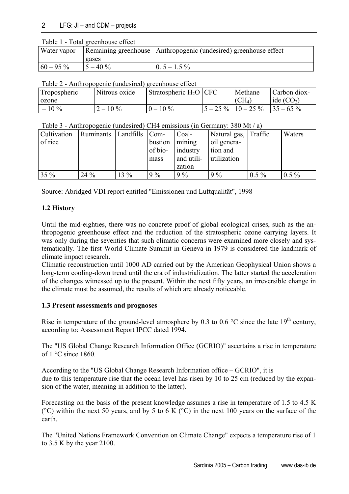| Water vapor |            | Remaining greenhouse Anthropogenic (undesired) greenhouse effect |
|-------------|------------|------------------------------------------------------------------|
|             | gases      |                                                                  |
| $60 - 95\%$ | $5 - 40\%$ | $0.5 - 1.5\%$                                                    |

Table 2 - Anthropogenic (undesired) greenhouse effect

| Tropospheric | Nitrous oxide | Stratospheric $H_2O$ CFC | Methane                  | Carbon diox- |
|--------------|---------------|--------------------------|--------------------------|--------------|
| ozone        |               |                          | $\rm (CH_4)$             | ide $(CO2)$  |
| $-10\%$      | $2 - 10\%$    | $0 - 10\%$               | $5 - 25\%$   $10 - 25\%$ | $135 - 65\%$ |

| Table 3 - Anthropogenic (undesired) CH4 emissions (in Germany: 380 Mt / a) |  |  |
|----------------------------------------------------------------------------|--|--|
|                                                                            |  |  |

| <b>Cultivation</b> | Ruminants | Landfills   Com- |         | Coal-      | Natural gas, Traffic |         | Waters  |
|--------------------|-----------|------------------|---------|------------|----------------------|---------|---------|
| of rice            |           |                  | bustion | mining     | oil genera-          |         |         |
|                    |           |                  | of bio- | industry   | tion and             |         |         |
|                    |           |                  | mass    | and utili- | utilization          |         |         |
|                    |           |                  |         | zation     |                      |         |         |
| 35 %               | $24\%$    | $13\%$           | $9\%$   | $9\%$      | $9\%$                | $0.5\%$ | $0.5\%$ |

Source: Abridged VDI report entitled "Emissionen und Luftqualität", 1998

# **1.2 History**

Until the mid-eighties, there was no concrete proof of global ecological crises, such as the anthropogenic greenhouse effect and the reduction of the stratospheric ozone carrying layers. It was only during the seventies that such climatic concerns were examined more closely and systematically. The first World Climate Summit in Geneva in 1979 is considered the landmark of climate impact research.

Climatic reconstruction until 1000 AD carried out by the American Geophysical Union shows a long-term cooling-down trend until the era of industrialization. The latter started the acceleration of the changes witnessed up to the present. Within the next fifty years, an irreversible change in the climate must be assumed, the results of which are already noticeable.

# **1.3 Present assessments and prognoses**

Rise in temperature of the ground-level atmosphere by 0.3 to 0.6  $\degree$ C since the late 19<sup>th</sup> century, according to: Assessment Report IPCC dated 1994.

The "US Global Change Research Information Office (GCRIO)" ascertains a rise in temperature of  $1^{\circ}$ C since 1860.

According to the "US Global Change Research Information office – GCRIO", it is due to this temperature rise that the ocean level has risen by 10 to 25 cm (reduced by the expansion of the water, meaning in addition to the latter).

Forecasting on the basis of the present knowledge assumes a rise in temperature of 1.5 to 4.5 K ( $^{\circ}$ C) within the next 50 years, and by 5 to 6 K ( $^{\circ}$ C) in the next 100 years on the surface of the earth.

The "United Nations Framework Convention on Climate Change" expects a temperature rise of 1 to 3.5 K by the year 2100.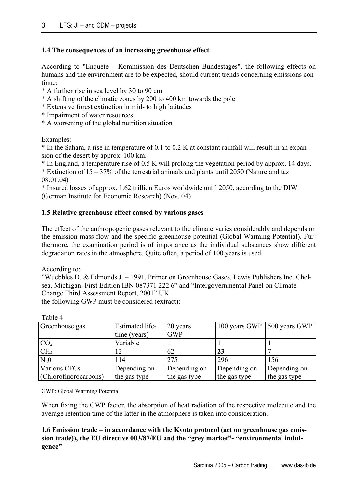## **1.4 The consequences of an increasing greenhouse effect**

According to "Enquete – Kommission des Deutschen Bundestages", the following effects on humans and the environment are to be expected, should current trends concerning emissions continue:

- \* A further rise in sea level by 30 to 90 cm
- \* A shifting of the climatic zones by 200 to 400 km towards the pole
- \* Extensive forest extinction in mid- to high latitudes
- \* Impairment of water resources
- \* A worsening of the global nutrition situation

Examples:

\* In the Sahara, a rise in temperature of 0.1 to 0.2 K at constant rainfall will result in an expansion of the desert by approx. 100 km.

\* In England, a temperature rise of 0.5 K will prolong the vegetation period by approx. 14 days.

\* Extinction of 15 – 37% of the terrestrial animals and plants until 2050 (Nature and taz 08.01.04)

\* Insured losses of approx. 1.62 trillion Euros worldwide until 2050, according to the DIW (German Institute for Economic Research) (Nov. 04)

### **1.5 Relative greenhouse effect caused by various gases**

The effect of the anthropogenic gases relevant to the climate varies considerably and depends on the emission mass flow and the specific greenhouse potential (Global Warming Potential). Furthermore, the examination period is of importance as the individual substances show different degradation rates in the atmosphere. Quite often, a period of 100 years is used.

According to:

"Wuebbles D. & Edmonds J. – 1991, Primer on Greenhouse Gases, Lewis Publishers Inc. Chelsea, Michigan. First Edition IBN 087371 222 6" and "Intergovernmental Panel on Climate Change Third Assessment Report, 2001" UK

the following GWP must be considered (extract):

| Greenhouse gas        | <b>Estimated life-</b> | 20 years     | 100 years GWP | 500 years GWP |
|-----------------------|------------------------|--------------|---------------|---------------|
|                       | time (years)           | <b>GWP</b>   |               |               |
| CO <sub>2</sub>       | Variable               |              |               |               |
| CH <sub>4</sub>       | 12                     | 62           | 23            |               |
| $N_20$                | 114                    | 275          | 296           | 156           |
| Various CFCs          | Depending on           | Depending on | Depending on  | Depending on  |
| (Chlorofluorocarbons) | the gas type           | the gas type | the gas type  | the gas type  |

Table 4

GWP: Global Warming Potential

When fixing the GWP factor, the absorption of heat radiation of the respective molecule and the average retention time of the latter in the atmosphere is taken into consideration.

## **1.6 Emission trade – in accordance with the Kyoto protocol (act on greenhouse gas emission trade)), the EU directive 003/87/EU and the "grey market"- "environmental indulgence"**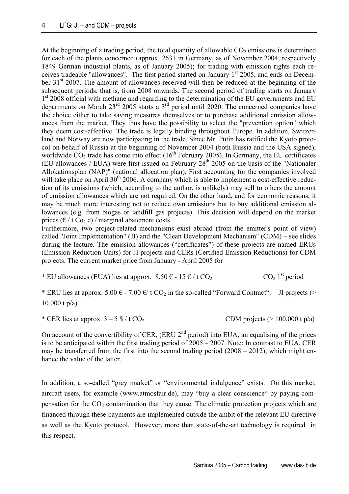At the beginning of a trading period, the total quantity of allowable  $CO<sub>2</sub>$  emissions is determined for each of the plants concerned (approx. 2631 in Germany, as of November 2004, respectively 1849 German industrial plants, as of January 2005); for trading with emission rights each receives tradeable "allowances". The first period started on January 1st 2005, and ends on December 31<sup>st</sup> 2007. The amount of allowances received will then be reduced at the beginning of the subsequent periods, that is, from 2008 onwards. The second period of trading starts on January 1<sup>st</sup> 2008 official with methane and regarding to the determination of the EU governments and EU departments on March 23rd 2005 starts a 3rd period until 2020. The concerned companies have the choice either to take saving measures themselves or to purchase additional emission allowances from the market. They thus have the possibility to select the "prevention option" which they deem cost-effective. The trade is legally binding throughout Europe. In addition, Switzerland and Norway are now participating in the trade. Since Mr. Putin has ratified the Kyoto protocol on behalf of Russia at the beginning of November 2004 (both Russia and the USA signed), worldwide  $CO<sub>2</sub>$  trade has come into effect  $(16<sup>th</sup>$  February 2005). In Germany, the EU certificates (EU allowances / EUA) were first issued on February  $28<sup>th</sup> 2005$  on the basis of the "Nationaler Allokationsplan (NAP)" (national allocation plan). First accounting for the companies involved will take place on April 30<sup>th</sup> 2006. A company which is able to implement a cost-effective reduction of its emissions (which, according to the author, is unlikely) may sell to others the amount of emission allowances which are not required. On the other hand, and for economic reasons, it may be much more interesting not to reduce own emissions but to buy additional emission allowances (e.g. from biogas or landfill gas projects). This decision will depend on the market prices ( $\epsilon$  / t Co<sub>2</sub> e) / marginal abatement costs.

Furthermore, two project-related mechanisms exist abroad (from the emitter's point of view) called "Joint Implementation" (JI) and the "Clean Development Mechanism" (CDM) – see slides during the lecture. The emission allowances ("certificates") of these projects are named ERUs (Emission Reduction Units) for JI projects and CERs (Certified Emission Reductions) for CDM projects. The current market price from January - April 2005 for

\* EU allowances (EUA) lies at approx.  $8.50 \epsilon - 15 \epsilon / t \, \text{CO}_2$  CO<sub>2</sub> 1<sup>st</sup> period

\* ERU lies at approx. 5.00  $\epsilon$  - 7.00  $\epsilon$ / t CO<sub>2</sub> in the so-called "Forward Contract". JI projects (> 10,000 t p/a)

\* CER lies at approx.  $3 - 5$  \$ / t CO<sub>2</sub> CDM projects (> 100,000 t p/a)

On account of the convertibility of CER,  $(ERU 2<sup>nd</sup> period)$  into EUA, an equalising of the prices is to be anticipated within the first trading period of 2005 – 2007. Note: In contrast to EUA, CER may be transferred from the first into the second trading period (2008 – 2012), which might enhance the value of the latter.

In addition, a so-called "grey market" or "environmental indulgence" exists. On this market, aircraft users, for example ([www.atmosfair.de\)](http://www.atmosfair.de/), may "buy a clear conscience" by paying compensation for the  $CO<sub>2</sub>$  contamination that they cause. The climatic protection projects which are financed through these payments are implemented outside the ambit of the relevant EU directive as well as the Kyoto protocol. However, more than state-of-the-art technology is required in this respect.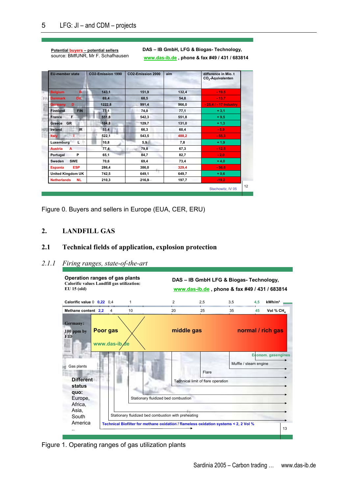#### **Potential – potential sellers buyers** source: BMfUNR, Mr F. Schafhausen

**DAS – IB GmbH, LFG & Biogas- Technology, www.das-ib.de , phone & fax #49 / 431 / 683814**

| <b>EU-member state</b>          | CO2-Emission 1990 | CO2-Emission 2000 | aim   | difference in Mio. t<br>CO <sub>2</sub> -Äquivalenten |
|---------------------------------|-------------------|-------------------|-------|-------------------------------------------------------|
| B.<br><b>Belgium</b>            | 143,1             | 151,9             | 132,4 | $-19,5$                                               |
| <b>DK</b><br><b>Danmark</b>     | 69,4              | 68,5              | 54,8  | $-13.7$                                               |
| D<br><b>Germany</b>             | 1222,8            | 991,4             | 966,0 | - 25,4 / - 17 Industry                                |
| <b>FIN</b><br><b>Finnland</b>   | 77,1              | 74,0              | 77,1  | $+3,1$                                                |
| F<br>France                     | 551,8             | 542,3             | 551,8 | $+9,5$                                                |
| <b>GR</b><br>Greece             | 104,8             | 129,7             | 131,0 | $+1,3$                                                |
| IR.<br>Ireland                  | 53,4              | 66,3              | 60,4  | $-5,9$                                                |
| <b>Italy</b>                    | 522,1             | 543,5             | 488,2 | $-55,3$                                               |
| Luxemburg L<br>÷                | 10,8              | 5,9               | 7,8   | $+1,9$                                                |
| <b>Austria</b><br>A             | 77,4              | 79,8              | 67,3  | $-12,5$                                               |
| P<br>Portugal                   | 65,1              | 84,7              | 82,7  | $-2,0$                                                |
| <b>SWE</b><br>Sweden            | 70,6              | 69,4              | 73,4  | $+4,0$                                                |
| <b>ESP</b><br><b>Espania</b>    | 286,4             | 386,0             | 329,4 | $-56.6$                                               |
| <b>United Kingdom UK</b>        | 742,5             | m<br>649,1        | 649,7 | $+0,6$                                                |
| <b>Netherlands</b><br><b>NL</b> | 210,3             | $216,9 -$         | 197,7 | $-19.2$                                               |

Figure 0. Buyers and sellers in Europe (EUA, CER, ERU)

# **2. LANDFILL GAS**

## **2.1 Technical fields of application, explosion protection**

### *2.1.1 Firing ranges, state-of-the-art*



Figure 1. Operating ranges of gas utilization plants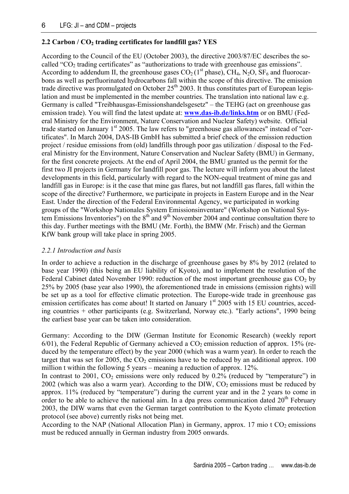# **2.2 Carbon / CO<sub>2</sub> trading certificates for landfill gas? YES**

According to the Council of the EU (October 2003), the directive 2003/87/EC describes the socalled " $CO<sub>2</sub>$  trading certificates" as "authorizations to trade with greenhouse gas emissions". According to addendum II, the greenhouse gases  $CO_2(1^{st}$  phase),  $CH_4$ ,  $N_2O$ ,  $SF_6$  and fluorocarbons as well as perfluorinated hydrocarbons fall within the scope of this directive. The emission trade directive was promulgated on October  $25<sup>th</sup>$  2003. It thus constitutes part of European legislation and must be implemented in the member countries. The translation into national law e.g. Germany is called "Treibhausgas-Emissionshandelsgesetz" – the TEHG (act on greenhouse gas emission trade). You will find the latest update at: **[www.das-ib.de/links.htm](http://www.das-ib.de/links.htm)** or on BMU (Federal Ministry for the Environment, Nature Conservation and Nuclear Safety) website. Official trade started on January  $1<sup>st</sup> 2005$ . The law refers to "greenhouse gas allowances" instead of "certificates". In March 2004, DAS-IB GmbH has submitted a brief check of the emission reduction project / residue emissions from (old) landfills through poor gas utilization / disposal to the Federal Ministry for the Environment, Nature Conservation and Nuclear Safety (BMU) in Germany, for the first concrete projects. At the end of April 2004, the BMU granted us the permit for the first two JI projects in Germany for landfill poor gas. The lecture will inform you about the latest developments in this field, particularly with regard to the NON-equal treatment of mine gas and landfill gas in Europe: is it the case that mine gas flares, but not landfill gas flares, fall within the scope of the directive? Furthermore, we participate in projects in Eastern Europe and in the Near East. Under the direction of the Federal Environmental Agency, we participated in working groups of the "Workshop Nationales System Emissionsinventare" (Workshop on National System Emissions Inventories") on the  $8<sup>th</sup>$  and  $9<sup>th</sup>$  November 2004 and continue consultation there to this day. Further meetings with the BMU (Mr. Forth), the BMW (Mr. Frisch) and the German KfW bank group will take place in spring 2005.

## *2.2.1 Introduction and basis*

In order to achieve a reduction in the discharge of greenhouse gases by 8% by 2012 (related to base year 1990) (this being an EU liability of Kyoto), and to implement the resolution of the Federal Cabinet dated November 1990: reduction of the most important greenhouse gas  $CO<sub>2</sub>$  by 25% by 2005 (base year also 1990), the aforementioned trade in emissions (emission rights) will be set up as a tool for effective climatic protection. The Europe-wide trade in greenhouse gas emission certificates has come about! It started on January 1<sup>st</sup> 2005 with 15 EU countries, acceding countries + other participants (e.g. Switzerland, Norway etc.). "Early actions", 1990 being the earliest base year can be taken into consideration.

Germany: According to the DIW (German Institute for Economic Research) (weekly report  $6/01$ ), the Federal Republic of Germany achieved a  $CO<sub>2</sub>$  emission reduction of approx. 15% (reduced by the temperature effect) by the year 2000 (which was a warm year). In order to reach the target that was set for 2005, the  $CO<sub>2</sub>$  emissions have to be reduced by an additional approx. 100 million t within the following 5 years – meaning a reduction of approx. 12%.

In contrast to 2001,  $CO<sub>2</sub>$  emissions were only reduced by 0.2% (reduced by "temperature") in  $2002$  (which was also a warm year). According to the DIW,  $CO<sub>2</sub>$  emissions must be reduced by approx. 11% (reduced by "temperature") during the current year and in the 2 years to come in order to be able to achieve the national aim. In a dpa press communication dated  $20<sup>th</sup>$  February 2003, the DIW warns that even the German target contribution to the Kyoto climate protection protocol (see above) currently risks not being met.

According to the NAP (National Allocation Plan) in Germany, approx. 17 mio t  $CO<sub>2</sub>$  emissions must be reduced annually in German industry from 2005 onwards.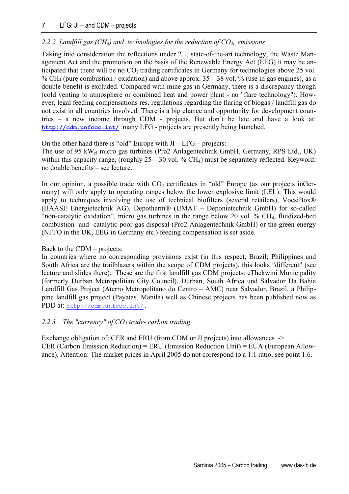## 7 LFG: JI – and CDM – projects

## 2.2.2 Landfill gas (CH<sub>4</sub>) and technologies for the reduction of CO<sub>2e</sub> emissions

Taking into consideration the reflections under 2.1, state-of-the-art technology, the Waste Management Act and the promotion on the basis of the Renewable Energy Act (EEG) it may be anticipated that there will be no  $CO<sub>2</sub>$  trading certificates in Germany for technologies above 25 vol. % CH<sub>4</sub> (pure combustion / oxidation) and above approx.  $35 - 38$  vol. % (use in gas engines), as a double benefit is excluded. Compared with mine gas in Germany, there is a discrepancy though (cold venting to atmosphere or combined heat and power plant - no "flare technology"). However, legal feeding compensations res. regulations regarding the flaring of biogas / landfill gas do not exist in all countries involved. There is a big chance and opportunity for development countries – a new income through CDM - projects. But don't be late and have a look at: **<http://cdm.unfccc.int/>** many LFG - projects are presently being launched.

On the other hand there is "old" Europe with  $JI - LFG -$  projects:

The use of 95 kWel micro gas turbines (Pro2 Anlagentechnik GmbH, Germany, RPS Ltd., UK) within this capacity range, (roughly  $25 - 30$  vol. % CH<sub>4</sub>) must be separately reflected. Keyword: no double benefits – see lecture.

In our opinion, a possible trade with  $CO<sub>2</sub>$  certificates in "old" Europe (as our projects inGermany) will only apply to operating ranges below the lower explosive limit (LEL). This would apply to techniques involving the use of technical biofilters (several retailers), VocsiBox® (HAASE Energietechnik AG), Depotherm® (UMAT – Deponietechnik GmbH) for so-called "non-catalytic oxidation", micro gas turbines in the range below 20 vol. % CH4, fluidized-bed combustion and catalytic poor gas disposal (Pro2 Anlagentechnik GmbH) or the green energy (NFFO in the UK, EEG in Germany etc.) feeding compensation is set aside.

### Back to the CDM – projects:

In countries where no corresponding provisions exist (in this respect, Brazil; Philippines and South Africa are the trailblazers within the scope of CDM projects), this looks "different" (see lecture and slides there). These are the first landfill gas CDM projects: eThekwini Municipality (formerly Durban Metropolitian City Council), Durban, South Africa und Salvador Da Bahia Landfill Gas Project (Aterro Metropolitano do Centro – AMC) near Salvador, Brazil, a Philippine landfill gas project (Payatas, Manila) well as Chinese projects has been published now as PDD at: [http://cdm.unfccc.int/.](http://cdm.unfccc.int/)

### 2.2.3 The "currency" of  $CO<sub>2</sub>$  trade- carbon trading

Exchange obligation of: CER and ERU (from CDM or JI projects) into allowances  $\rightarrow$ CER (Carbon Emission Reduction) = ERU (Emission Reduction Unit) = EUA (European Allowance). Attention: The market prices in April 2005 do not correspond to a 1:1 ratio, see point 1.6.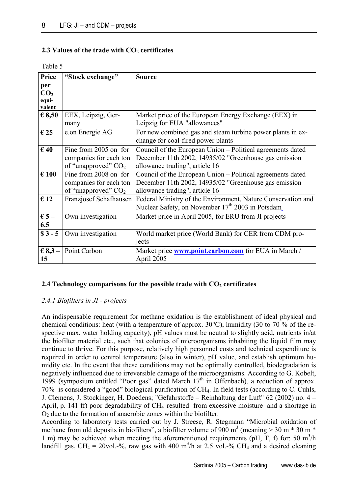## **2.3 Values of the trade with CO**2 **certificates**

| Price           | "Stock exchange"       | <b>Source</b>                                                |
|-----------------|------------------------|--------------------------------------------------------------|
| per             |                        |                                                              |
| CO <sub>2</sub> |                        |                                                              |
| equi-           |                        |                                                              |
| valent          |                        |                                                              |
| $\epsilon$ 8,50 | EEX, Leipzig, Ger-     | Market price of the European Energy Exchange (EEX) in        |
|                 | many                   | Leipzig for EUA "allowances"                                 |
| $\epsilon$ 25   | e.on Energie AG        | For new combined gas and steam turbine power plants in ex-   |
|                 |                        | change for coal-fired power plants                           |
| $\epsilon$ 40   | Fine from 2005 on for  | Council of the European Union – Political agreements dated   |
|                 | companies for each ton | December 11th 2002, 14935/02 "Greenhouse gas emission        |
|                 | of "unapproved" $CO2$  | allowance trading", article 16                               |
| $\epsilon$ 100  | Fine from 2008 on for  | Council of the European Union – Political agreements dated   |
|                 | companies for each ton | December 11th 2002, 14935/02 "Greenhouse gas emission        |
|                 | of "unapproved" $CO2$  | allowance trading", article 16                               |
| $\epsilon$ 12   | Franzjosef Schafhausen | Federal Ministry of the Environment, Nature Conservation and |
|                 |                        | Nuclear Safety, on November 17 <sup>th</sup> 2003 in Potsdam |
| $\epsilon$ 5 –  | Own investigation      | Market price in April 2005, for ERU from JI projects         |
| 6.5             |                        |                                                              |
| $$3 - 5$        | Own investigation      | World market price (World Bank) for CER from CDM pro-        |
|                 |                        | jects                                                        |
| € $8,3$ –       | Point Carbon           | Market price <b>www.point.carbon.com</b> for EUA in March /  |
| 15              |                        | April 2005                                                   |
|                 |                        |                                                              |

#### Table 5

## **2.4 Technology comparisons for the possible trade with CO<sub>2</sub> certificates**

### *2.4.1 Biofilters in JI - projects*

An indispensable requirement for methane oxidation is the establishment of ideal physical and chemical conditions: heat (with a temperature of approx.  $30^{\circ}$ C), humidity (30 to 70 % of the respective max. water holding capacity), pH values must be neutral to slightly acid, nutrients in/at the biofilter material etc., such that colonies of microorganisms inhabiting the liquid film may continue to thrive. For this purpose, relatively high personnel costs and technical expenditure is required in order to control temperature (also in winter), pH value, and establish optimum humidity etc. In the event that these conditions may not be optimally controlled, biodegradation is negatively influenced due to irreversible damage of the microorganisms. According to G. Kobelt, 1999 (symposium entitled "Poor gas" dated March  $17<sup>th</sup>$  in Offenbach), a reduction of approx. 70% is considered a "good" biological purification of CH4. In field tests (according to C. Cuhls, J. Clemens, J. Stockinger, H. Doedens; "Gefahrstoffe – Reinhaltung der Luft" 62 (2002) no. 4 – April, p. 141 ff) poor degradability of CH<sub>4</sub> resulted from excessive moisture and a shortage in  $O<sub>2</sub>$  due to the formation of anaerobic zones within the biofilter.

According to laboratory tests carried out by J. Streese, R. Stegmann "Microbial oxidation of methane from old deposits in biofilters", a biofilter volume of 900 m<sup>3</sup> (meaning  $> 30$  m  $*$  30 m  $*$ 1 m) may be achieved when meeting the aforementioned requirements (pH, T, f) for: 50  $m<sup>3</sup>/h$ landfill gas, CH<sub>4</sub> = 20vol.-%, raw gas with 400 m<sup>3</sup>/h at 2.5 vol.-% CH<sub>4</sub> and a desired cleaning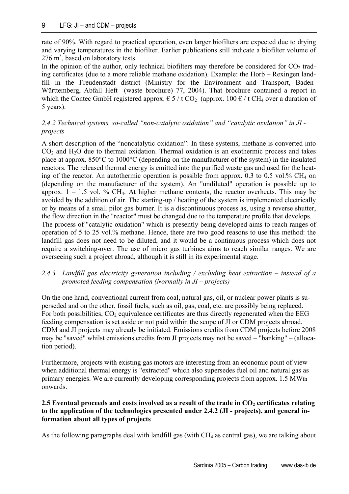rate of 90%. With regard to practical operation, even larger biofilters are expected due to drying and varying temperatures in the biofilter. Earlier publications still indicate a biofilter volume of  $276 \text{ m}^3$ , based on laboratory tests.

In the opinion of the author, only technical biofilters may therefore be considered for  $CO<sub>2</sub>$  trading certificates (due to a more reliable methane oxidation). Example: the Horb – Rexingen landfill in the Freudenstadt district (Ministry for the Environment and Transport, Baden-Württemberg, Abfall Heft (waste brochure) 77, 2004). That brochure contained a report in which the Contec GmbH registered approx.  $\epsilon$  5 / t CO<sub>2</sub> (approx. 100  $\epsilon$  / t CH<sub>4</sub> over a duration of 5 years).

# *2.4.2 Technical systems, so-called "non-catalytic oxidation" and "catalytic oxidation" in JI projects*

A short description of the "noncatalytic oxidation": In these systems, methane is converted into  $CO<sub>2</sub>$  and  $H<sub>2</sub>O$  due to thermal oxidation. Thermal oxidation is an exothermic process and takes place at approx. 850°C to 1000°C (depending on the manufacturer of the system) in the insulated reactors. The released thermal energy is emitted into the purified waste gas and used for the heating of the reactor. An autothermic operation is possible from approx. 0.3 to 0.5 vol.%  $CH_4$  on (depending on the manufacturer of the system). An "undiluted" operation is possible up to approx.  $1 - 1.5$  vol. % CH<sub>4</sub>. At higher methane contents, the reactor overheats. This may be avoided by the addition of air. The starting-up / heating of the system is implemented electrically or by means of a small pilot gas burner. It is a discontinuous process as, using a reverse shutter, the flow direction in the "reactor" must be changed due to the temperature profile that develops. The process of "catalytic oxidation" which is presently being developed aims to reach ranges of operation of 5 to 25 vol.% methane. Hence, there are two good reasons to use this method: the

landfill gas does not need to be diluted, and it would be a continuous process which does not require a switching-over. The use of micro gas turbines aims to reach similar ranges. We are overseeing such a project abroad, although it is still in its experimental stage.

# *2.4.3 Landfill gas electricity generation including / excluding heat extraction – instead of a promoted feeding compensation (Normally in JI – projects)*

On the one hand, conventional current from coal, natural gas, oil, or nuclear power plants is superseded and on the other, fossil fuels, such as oil, gas, coal, etc. are possibly being replaced. For both possibilities,  $CO<sub>2</sub>$  equivalence certificates are thus directly regenerated when the EEG feeding compensation is set aside or not paid within the scope of JI or CDM projects abroad. CDM and JI projects may already be initiated. Emissions credits from CDM projects before 2008 may be "saved" whilst emissions credits from JI projects may not be saved – "banking" – (allocation period).

Furthermore, projects with existing gas motors are interesting from an economic point of view when additional thermal energy is "extracted" which also supersedes fuel oil and natural gas as primary energies. We are currently developing corresponding projects from approx. 1.5 MWth onwards.

# 2.5 Eventual proceeds and costs involved as a result of the trade in CO<sub>2</sub> certificates relating **to the application of the technologies presented under 2.4.2 (JI - projects), and general information about all types of projects**

As the following paragraphs deal with landfill gas (with CH<sub>4</sub> as central gas), we are talking about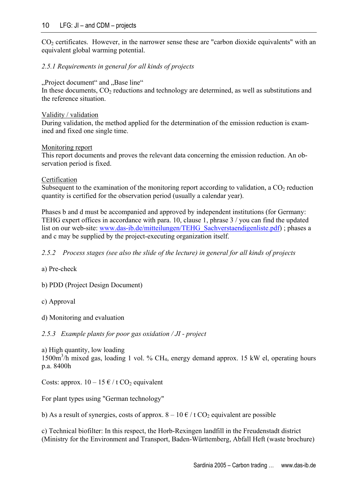### 10 LFG: JI – and CDM – projects

 $CO<sub>2</sub>$  certificates. However, in the narrower sense these are "carbon dioxide equivalents" with an equivalent global warming potential.

### *2.5.1 Requirements in general for all kinds of projects*

#### "Project document" and "Base line"

In these documents,  $CO<sub>2</sub>$  reductions and technology are determined, as well as substitutions and the reference situation.

#### Validity / validation

During validation, the method applied for the determination of the emission reduction is examined and fixed one single time.

#### Monitoring report

This report documents and proves the relevant data concerning the emission reduction. An observation period is fixed.

#### Certification

Subsequent to the examination of the monitoring report according to validation, a  $CO<sub>2</sub>$  reduction quantity is certified for the observation period (usually a calendar year).

Phases b and d must be accompanied and approved by independent institutions (for Germany: TEHG expert offices in accordance with para. 10, clause 1, phrase 3 / you can find the updated list on our web-site: [www.das-ib.de/mitteilungen/TEHG\\_Sachverstaendigenliste.pdf\)](http://www.das-ib.de/mitteilungen/TEHG_Sachverstaendigenliste.pdf) ; phases a and c may be supplied by the project-executing organization itself.

*2.5.2 Process stages (see also the slide of the lecture) in general for all kinds of projects* 

a) Pre-check

b) PDD (Project Design Document)

c) Approval

d) Monitoring and evaluation

*2.5.3 Example plants for poor gas oxidation / JI - project* 

a) High quantity, low loading 1500m3 /h mixed gas, loading 1 vol. % CH4, energy demand approx. 15 kW el, operating hours p.a. 8400h

Costs: approx.  $10 - 15 \notin / t \text{ CO}_2$  equivalent

For plant types using "German technology"

b) As a result of synergies, costs of approx.  $8 - 10 \cdot \text{\textsterling} / t \cdot \text{\text{CO}}$  equivalent are possible

c) Technical biofilter: In this respect, the Horb-Rexingen landfill in the Freudenstadt district (Ministry for the Environment and Transport, Baden-Württemberg, Abfall Heft (waste brochure)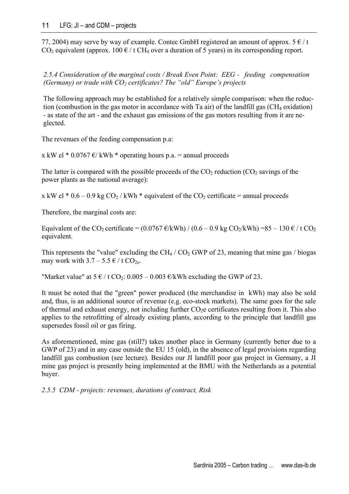77, 2004) may serve by way of example. Contec GmbH registered an amount of approx.  $5 \notin / t$ CO<sub>2</sub> equivalent (approx. 100  $\epsilon$  / t CH<sub>4</sub> over a duration of 5 years) in its corresponding report.

*2.5.4 Consideration of the marginal costs / Break Even Point: EEG - feeding compensation (Germany) or trade with CO2 certificates? The "old" Europe's projects* 

The following approach may be established for a relatively simple comparison: when the reduction (combustion in the gas motor in accordance with Ta air) of the landfill gas  $(CH<sub>4</sub> oxidation)$ - as state of the art - and the exhaust gas emissions of the gas motors resulting from it are neglected.

The revenues of the feeding compensation p.a:

x kW el \* 0.0767  $\varepsilon$ / kWh \* operating hours p.a. = annual proceeds

The latter is compared with the possible proceeds of the  $CO<sub>2</sub>$  reduction  $(CO<sub>2</sub>$  savings of the power plants as the national average):

x kW el  $*$  0.6 – 0.9 kg CO<sub>2</sub> / kWh  $*$  equivalent of the CO<sub>2</sub> certificate = annual proceeds

Therefore, the marginal costs are:

Equivalent of the CO<sub>2</sub> certificate =  $(0.0767 \text{ E/kWh}) / (0.6 - 0.9 \text{ kg CO}_2/\text{kWh}) = 85 - 130 \text{ E}/t \text{ CO}_2$ equivalent.

This represents the "value" excluding the CH<sub>4</sub> / CO<sub>2</sub> GWP of 23, meaning that mine gas / biogas may work with  $3.7 - 5.5 \in / t \text{ CO}_{2e}$ .

"Market value" at  $5 \notin / t \text{ CO}_2$ : 0.005 – 0.003  $\notin / kwh$  excluding the GWP of 23.

It must be noted that the "green" power produced (the merchandise in kWh) may also be sold and, thus, is an additional source of revenue (e.g. eco-stock markets). The same goes for the sale of thermal and exhaust energy, not including further  $CO<sub>2</sub>e$  certificates resulting from it. This also applies to the retrofitting of already existing plants, according to the principle that landfill gas supersedes fossil oil or gas firing.

As aforementioned, mine gas (still?) takes another place in Germany (currently better due to a GWP of 23) and in any case outside the EU 15 (old), in the absence of legal provisions regarding landfill gas combustion (see lecture). Besides our JI landfill poor gas project in Germany, a JI mine gas project is presently being implemented at the BMU with the Netherlands as a potential buyer.

*2.5.5 CDM - projects: revenues, durations of contract, Risk*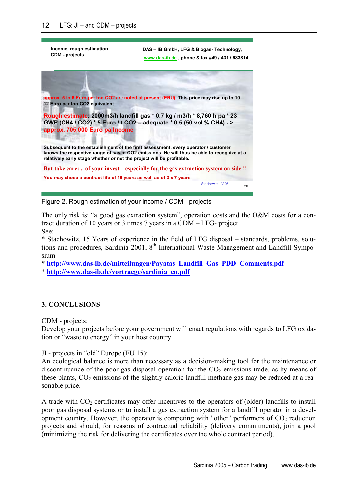| Income, rough estimation<br><b>CDM</b> - projects                                                                                                           | DAS - IB GmbH, LFG & Biogas- Technology,<br>www.das-ib.de, phone & fax #49 / 431 / 683814  |
|-------------------------------------------------------------------------------------------------------------------------------------------------------------|--------------------------------------------------------------------------------------------|
|                                                                                                                                                             |                                                                                            |
| 12 Euro per ton CO2 equivalent.                                                                                                                             | approx. 5 to 6 Euro per ton CO2 are noted at present (ERU). This price may rise up to 10 - |
| GWP (CH4 / CO2) * 5 Euro / t CO2 - adequate * 0.5 (50 vol % CH4) - ><br>approx. 705,000 Euro pa Income                                                      | Rough estimate: 2000m3/h landfill gas * 0.7 kg / m3/h * 8,760 h pa * 23                    |
| Subsequent to the establishment of the first assessment, every operator / customer<br>relatively early stage whether or not the project will be profitable. | knows the respective range of saved CO2 emissions. He will thus be able to recognize at a  |
|                                                                                                                                                             | But take care:  of your invest – especially for the gas extraction system on side !!       |
| You may chose a contract life of 10 years as well as of 3 x 7 years                                                                                         |                                                                                            |
|                                                                                                                                                             | Stachowitz, IV 05<br>20                                                                    |

Figure 2. Rough estimation of your income / CDM - projects

The only risk is: "a good gas extraction system", operation costs and the O&M costs for a contract duration of 10 years or 3 times 7 years in a CDM – LFG- project. See:

\* Stachowitz, 15 Years of experience in the field of LFG disposal – standards, problems, solutions and procedures, Sardinia 2001, 8<sup>th</sup> International Waste Management and Landfill Symposium

\* **[http://www.das-ib.de/mitteilungen/Payatas\\_Landfill\\_Gas\\_PDD\\_Comments.pdf](http://www.das-ib.de/mitteilungen/Payatas_Landfill_Gas_PDD_Comments.pdf)**

\* **[http://www.das-ib.de/vortraege/sardinia\\_en.pdf](http://www.das-ib.de/vortraege/sardinia_en.pdf)**

## **3. CONCLUSIONS**

CDM - projects:

Develop your projects before your government will enact regulations with regards to LFG oxidation or "waste to energy" in your host country.

JI - projects in "old" Europe (EU 15):

An ecological balance is more than necessary as a decision-making tool for the maintenance or discontinuance of the poor gas disposal operation for the  $CO<sub>2</sub>$  emissions trade, as by means of these plants,  $CO<sub>2</sub>$  emissions of the slightly caloric landfill methane gas may be reduced at a reasonable price.

A trade with  $CO<sub>2</sub>$  certificates may offer incentives to the operators of (older) landfills to install poor gas disposal systems or to install a gas extraction system for a landfill operator in a development country. However, the operator is competing with "other" performers of  $CO<sub>2</sub>$  reduction projects and should, for reasons of contractual reliability (delivery commitments), join a pool (minimizing the risk for delivering the certificates over the whole contract period).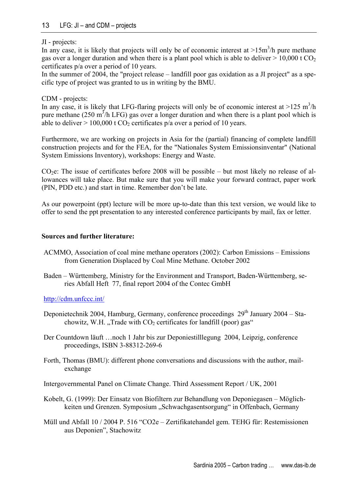## JI - projects:

In any case, it is likely that projects will only be of economic interest at  $>15m^3/h$  pure methane gas over a longer duration and when there is a plant pool which is able to deliver  $> 10,000$  t CO<sub>2</sub> certificates p/a over a period of 10 years.

In the summer of 2004, the "project release – landfill poor gas oxidation as a JI project" as a specific type of project was granted to us in writing by the BMU.

## CDM - projects:

In any case, it is likely that LFG-flaring projects will only be of economic interest at  $>125 \text{ m}^3/\text{h}$ pure methane (250 m<sup>3</sup>/h LFG) gas over a longer duration and when there is a plant pool which is able to deliver  $> 100,000$  t CO<sub>2</sub> certificates p/a over a period of 10 years.

Furthermore, we are working on projects in Asia for the (partial) financing of complete landfill construction projects and for the FEA, for the "Nationales System Emissionsinventar" (National System Emissions Inventory), workshops: Energy and Waste.

 $CO<sub>2</sub>e$ : The issue of certificates before 2008 will be possible – but most likely no release of allowances will take place. But make sure that you will make your forward contract, paper work (PIN, PDD etc.) and start in time. Remember don't be late.

As our powerpoint (ppt) lecture will be more up-to-date than this text version, we would like to offer to send the ppt presentation to any interested conference participants by mail, fax or letter.

## **Sources and further literature:**

- ACMMO, Association of coal mine methane operators (2002): Carbon Emissions Emissions from Generation Displaced by Coal Mine Methane. October 2002
- Baden Württemberg, Ministry for the Environment and Transport, Baden-Württemberg, series Abfall Heft 77, final report 2004 of the Contec GmbH

<http://cdm.unfccc.int/>

- Deponietechnik 2004, Hamburg, Germany, conference proceedings 29<sup>th</sup> January 2004 Stachowitz, W.H. "Trade with  $CO<sub>2</sub>$  certificates for landfill (poor) gas"
- Der Countdown läuft …noch 1 Jahr bis zur Deponiestilllegung 2004, Leipzig, conference proceedings, ISBN 3-88312-269-6
- Forth, Thomas (BMU): different phone conversations and discussions with the author, mailexchange

Intergovernmental Panel on Climate Change. Third Assessment Report / UK, 2001

- Kobelt, G. (1999): Der Einsatz von Biofiltern zur Behandlung von Deponiegasen Möglichkeiten und Grenzen. Symposium "Schwachgasentsorgung" in Offenbach, Germany
- Müll und Abfall 10 / 2004 P. 516 "CO2e Zertifikatehandel gem. TEHG für: Restemissionen aus Deponien", Stachowitz